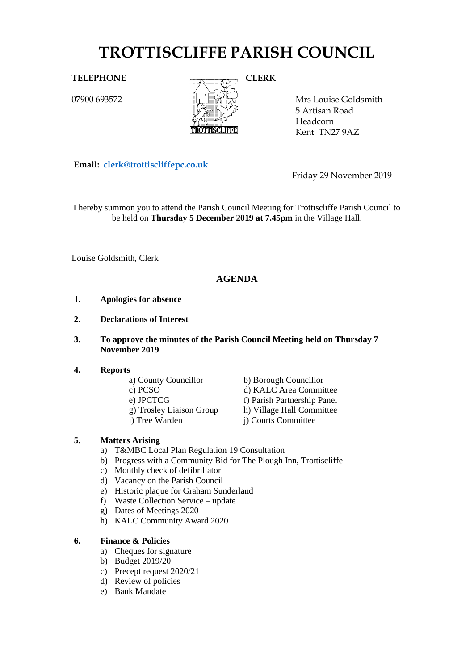# **TROTTISCLIFFE PARISH COUNCIL**

07900 693572



Mrs Louise Goldsmith 5 Artisan Road Headcorn Kent TN27 9AZ

**Email: [clerk@trottiscliffepc.co.uk](mailto:clerk@trottiscliffepc.co.uk)**

Friday 29 November 2019

I hereby summon you to attend the Parish Council Meeting for Trottiscliffe Parish Council to be held on **Thursday 5 December 2019 at 7.45pm** in the Village Hall.

Louise Goldsmith, Clerk

# **AGENDA**

- **1. Apologies for absence**
- **2. Declarations of Interest**
- **3. To approve the minutes of the Parish Council Meeting held on Thursday 7 November 2019**

#### **4. Reports**

- 
- 
- 
- 
- 

a) County Councillor<br>
c) PCSO<br>
d) KALC Area Commi d) KALC Area Committee e) JPCTCG f) Parish Partnership Panel g) Trosley Liaison Group h) Village Hall Committee i) Tree Warden j) Courts Committee

# **5. Matters Arising**

- a) T&MBC Local Plan Regulation 19 Consultation
- b) Progress with a Community Bid for The Plough Inn, Trottiscliffe
- c) Monthly check of defibrillator
- d) Vacancy on the Parish Council
- e) Historic plaque for Graham Sunderland
- f) Waste Collection Service update
- g) Dates of Meetings 2020
- h) KALC Community Award 2020

# **6. Finance & Policies**

- a) Cheques for signature
- b) Budget 2019/20
- c) Precept request 2020/21
- d) Review of policies
- e) Bank Mandate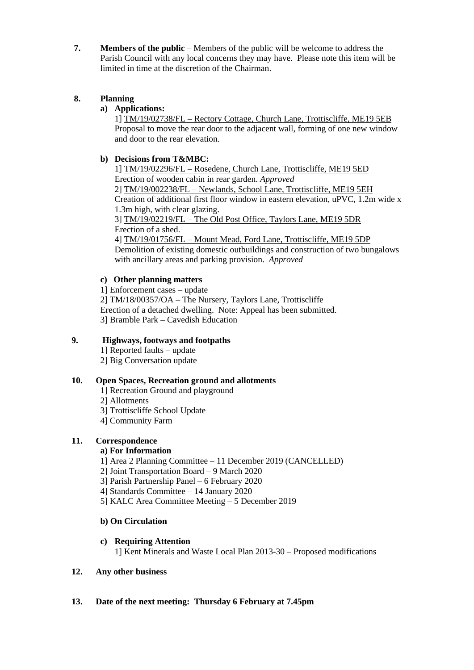**7. Members of the public** – Members of the public will be welcome to address the Parish Council with any local concerns they may have. Please note this item will be limited in time at the discretion of the Chairman.

# **8. Planning**

# **a) Applications:**

1] TM/19/02738/FL – Rectory Cottage, Church Lane, Trottiscliffe, ME19 5EB Proposal to move the rear door to the adjacent wall, forming of one new window and door to the rear elevation.

# **b) Decisions from T&MBC:**

1] TM/19/02296/FL – Rosedene, Church Lane, Trottiscliffe, ME19 5ED Erection of wooden cabin in rear garden. *Approved*

2] TM/19/002238/FL – Newlands, School Lane, Trottiscliffe, ME19 5EH Creation of additional first floor window in eastern elevation, uPVC, 1.2m wide x 1.3m high, with clear glazing.

3] TM/19/02219/FL – The Old Post Office, Taylors Lane, ME19 5DR Erection of a shed.

4] TM/19/01756/FL – Mount Mead, Ford Lane, Trottiscliffe, ME19 5DP Demolition of existing domestic outbuildings and construction of two bungalows with ancillary areas and parking provision. *Approved*

# **c) Other planning matters**

1] Enforcement cases – update

2] TM/18/00357/OA – The Nursery, Taylors Lane, Trottiscliffe Erection of a detached dwelling. Note: Appeal has been submitted. 3] Bramble Park – Cavedish Education

# **9. Highways, footways and footpaths**

- 1] Reported faults update
- 2] Big Conversation update

# **10. Open Spaces, Recreation ground and allotments**

- 1] Recreation Ground and playground
- 2] Allotments
- 3] Trottiscliffe School Update
- 4] Community Farm

# **11. Correspondence**

# **a) For Information**

- 1] Area 2 Planning Committee 11 December 2019 (CANCELLED)
- 2] Joint Transportation Board 9 March 2020
- 3] Parish Partnership Panel 6 February 2020
- 4] Standards Committee 14 January 2020
- 5] KALC Area Committee Meeting 5 December 2019

# **b) On Circulation**

# **c) Requiring Attention**

1] Kent Minerals and Waste Local Plan 2013-30 – Proposed modifications

#### **12. Any other business**

# **13. Date of the next meeting: Thursday 6 February at 7.45pm**